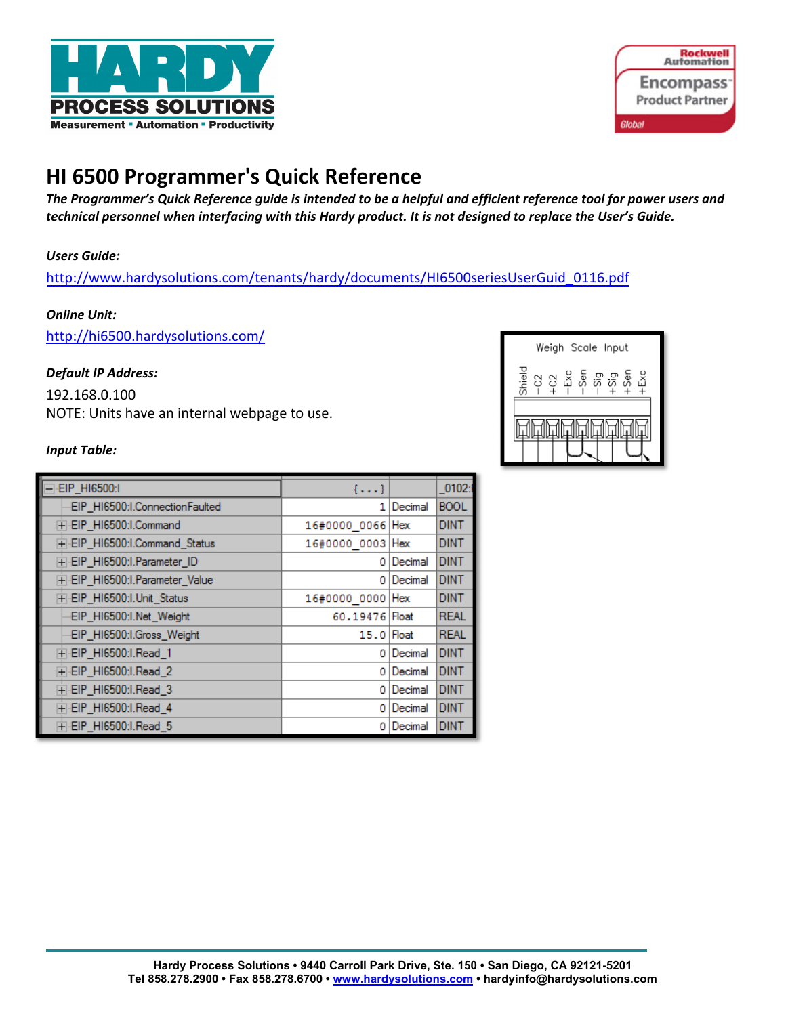



# **HI 6500 Programmer's Quick Reference**

*The Programmer's Quick Reference guide is intended to be a helpful and efficient reference tool for power users and technical personnel when interfacing with this Hardy product. It is not designed to replace the User's Guide.* 

### *Users Guide:*

http://www.hardysolutions.com/tenants/hardy/documents/HI6500seriesUserGuid\_0116.pdf

#### *Online Unit:*

http://hi6500.hardysolutions.com/

#### *Default IP Address:*

192.168.0.100 NOTE: Units have an internal webpage to use.

#### *Input Table:*

| EIP_HI6500:I                   | $\{ \}$          |         | $-0102:$    |
|--------------------------------|------------------|---------|-------------|
| EIP HI6500:I.ConnectionFaulted | 1                | Decimal | <b>BOOL</b> |
| +-EIP_HI6500:I.Command         | 16#0000 0066 Hex |         | <b>DINT</b> |
| +-EIP_HI6500:I.Command_Status  | 16#0000 0003 Hex |         | <b>DINT</b> |
| F-EIP HI6500:I.Parameter ID    | ٥                | Decimal | <b>DINT</b> |
| F-EIP_HI6500:I.Parameter_Value | ٥                | Decimal | <b>DINT</b> |
| F-EIP HI6500:I.Unit Status     | 16#0000_0000     | Hex     | <b>DINT</b> |
| EIP_HI6500:I.Net_Weight        | 60.19476 Float   |         | <b>REAL</b> |
| EIP_HI6500:I.Gross_Weight      | 15.0 Float       |         | <b>REAL</b> |
| T-EIP_HI6500:I.Read_1          | ٥                | Decimal | <b>DINT</b> |
| F-EIP_HI6500:I.Read_2          | ٥                | Decimal | <b>DINT</b> |
| F-EIP_HI6500:I.Read_3          | ٥                | Decimal | <b>DINT</b> |
| F-EIP_HI6500:I.Read_4          | ٥                | Decimal | <b>DINT</b> |
| F-EIP_HI6500:I.Read_5          | ٥                | Decimal | <b>DINT</b> |

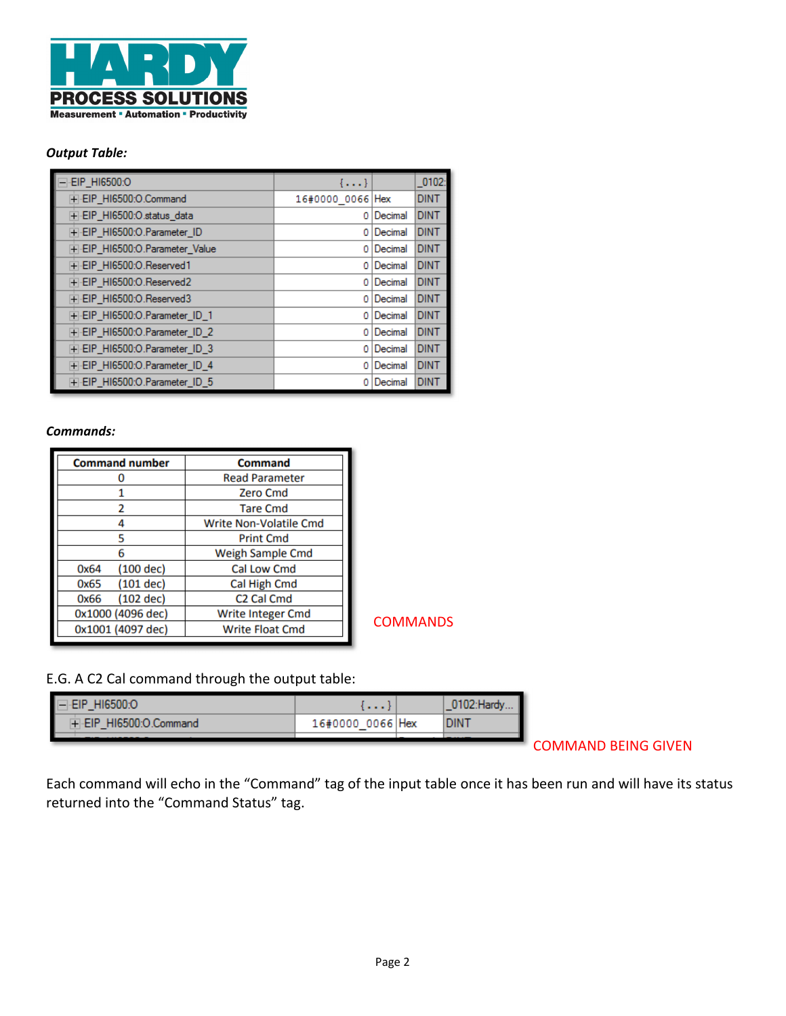

#### *Output Table:*

| $=$ EIP_HI6500:O                | $\{\ldots\}$     |         | $_0$ 102:   |
|---------------------------------|------------------|---------|-------------|
| F-EIP_HI6500:O.Command          | 16#0000 0066 Hex |         | <b>DINT</b> |
| + EIP_HI6500:O.status_data      | ٥                | Decimal | <b>DINT</b> |
| F-EIP HI6500:O.Parameter ID     | ٥                | Decimal | <b>DINT</b> |
| FI-EIP HI6500:O.Parameter Value | ٥                | Decimal | <b>DINT</b> |
| F-EIP_HI6500:O.Reserved1        | ٥                | Decimal | <b>DINT</b> |
| FI-EIP HI6500:O.Reserved2       | ٥                | Decimal | <b>DINT</b> |
| F-EIP HI6500:O.Reserved3        | ٥                | Decimal | <b>DINT</b> |
| FI-EIP_HI6500:O.Parameter_ID_1  | ٥                | Decimal | <b>DINT</b> |
| FI-EIP_HI6500:O.Parameter_ID_2  | ٥                | Decimal | <b>DINT</b> |
| FI-EIP HI6500:O.Parameter ID 3  | ٥                | Decimal | <b>DINT</b> |
| FI-EIP HI6500:O.Parameter ID 4  | ٥                | Decimal | <b>DINT</b> |
| F-EIP_HI6500:O.Parameter_ID_5   | ٥                | Decimal | <b>DINT</b> |

#### *Commands:*

| <b>Command number</b> | Command                       |
|-----------------------|-------------------------------|
|                       | <b>Read Parameter</b>         |
|                       | <b>Zero Cmd</b>               |
| 2                     | <b>Tare Cmd</b>               |
|                       | <b>Write Non-Volatile Cmd</b> |
|                       | <b>Print Cmd</b>              |
|                       | Weigh Sample Cmd              |
| $(100$ dec)<br>0x64   | <b>Cal Low Cmd</b>            |
| $(101$ dec)<br>0x65   | Cal High Cmd                  |
| $(102$ dec)<br>0x66   | C <sub>2</sub> Cal Cmd        |
| 0x1000 (4096 dec)     | <b>Write Integer Cmd</b>      |
| 0x1001 (4097 dec)     | <b>Write Float Cmd</b>        |

**COMMANDS** 

# E.G. A C2 Cal command through the output table:

| E<br>HI6500.C         | .                |  |
|-----------------------|------------------|--|
| HI6500:O.Command<br>ı | 16#0000 0066 Hex |  |
|                       |                  |  |

COMMAND BEING GIVEN

Each command will echo in the "Command" tag of the input table once it has been run and will have its status returned into the "Command Status" tag.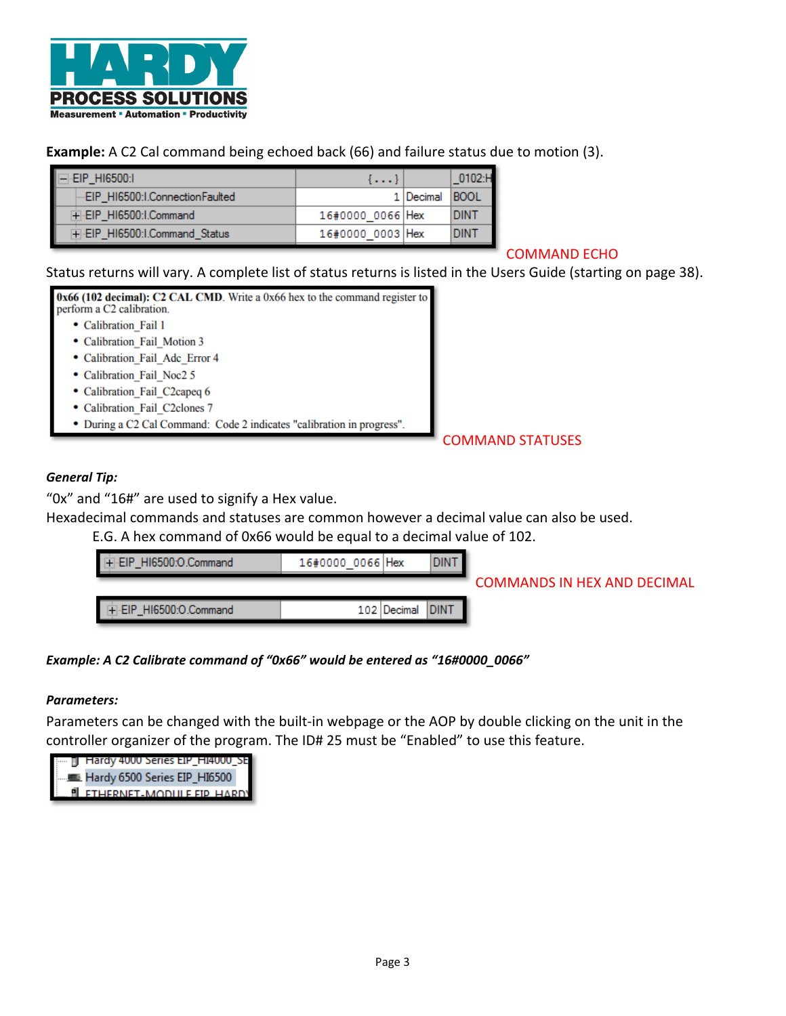

# **Example:** A C2 Cal command being echoed back (66) and failure status due to motion (3).

| $=$ EIP HI6500:1               | {}               |             | $-0102:$ H  |
|--------------------------------|------------------|-------------|-------------|
| EIP_HI6500:I.ConnectionFaulted |                  | 1   Decimal | <b>BOOL</b> |
| F-EIP HI6500:I.Command         | 16#0000 0066 Hex |             | DINT        |
| F-EIP HI6500:I.Command Status  | 16#0000 0003 Hex |             | <b>DIN1</b> |

## COMMAND ECHO

# Status returns will vary. A complete list of status returns is listed in the Users Guide (starting on page 38).



# COMMAND STATUSES

## *General Tip:*

"0x" and "16#" are used to signify a Hex value.

Hexadecimal commands and statuses are common however a decimal value can also be used.

E.G. A hex command of 0x66 would be equal to a decimal value of 102.

| FI-EIP HI6500:O.Command | 16#0000 0066 Hex |             |                  |                                    |
|-------------------------|------------------|-------------|------------------|------------------------------------|
|                         |                  |             |                  | <b>COMMANDS IN HEX AND DECIMAL</b> |
| FI-EIP HI6500:O.Command |                  | 102 Decimal | DIN <sup>-</sup> |                                    |

## *Example: A C2 Calibrate command of "0x66" would be entered as "16#0000\_0066"*

## *Parameters:*

Parameters can be changed with the built‐in webpage or the AOP by double clicking on the unit in the controller organizer of the program. The ID# 25 must be "Enabled" to use this feature.

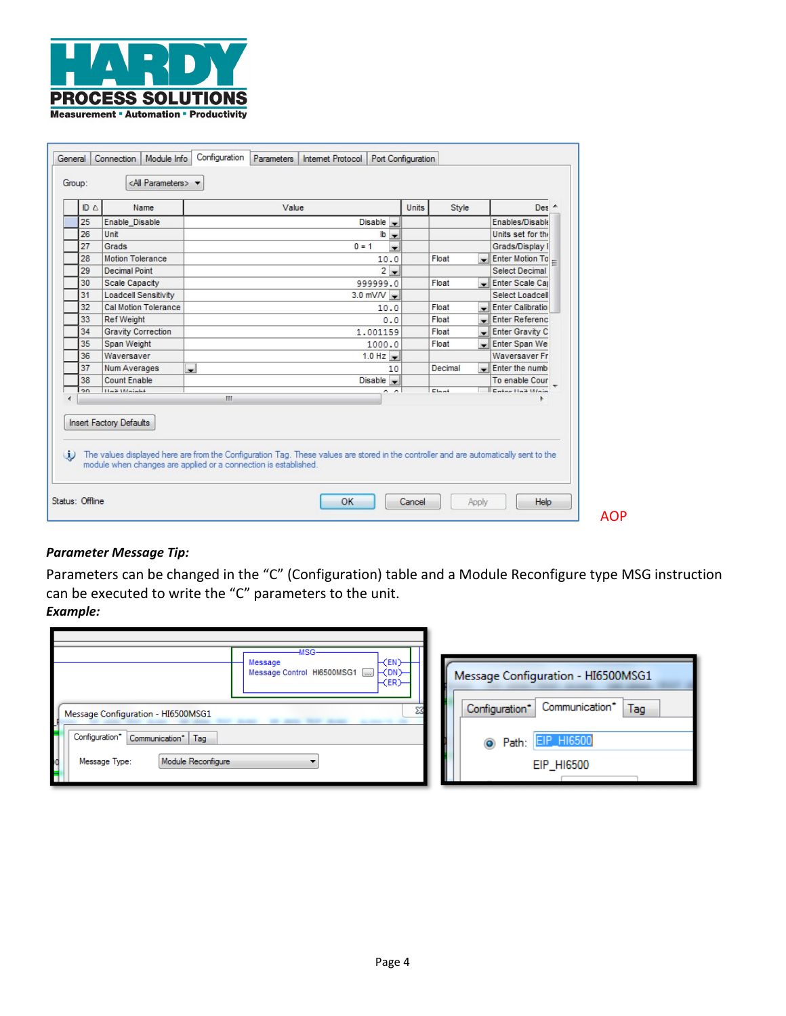

| ID A | Name                                                                                                                                                                                                                                       |    | Value              |         |                                     |                          | Units                    | Style                    |                          | Des A                 |  |
|------|--------------------------------------------------------------------------------------------------------------------------------------------------------------------------------------------------------------------------------------------|----|--------------------|---------|-------------------------------------|--------------------------|--------------------------|--------------------------|--------------------------|-----------------------|--|
| 25   | Enable Disable                                                                                                                                                                                                                             |    |                    |         | Disable $\rightarrow$               |                          |                          |                          |                          | Enables/Disable       |  |
| 26   | Unit                                                                                                                                                                                                                                       |    |                    |         | $\mathsf{lb}$ $\blacktriangleright$ |                          |                          |                          |                          | Units set for the     |  |
| 27   | Grads                                                                                                                                                                                                                                      |    |                    | $0 = 1$ |                                     | $\overline{\phantom{a}}$ |                          |                          |                          | Grads/Display I       |  |
| 28   | Motion Tolerance                                                                                                                                                                                                                           |    |                    |         | 10.0                                |                          |                          | Float                    |                          | Enter Motion To =     |  |
| 29   | Decimal Point                                                                                                                                                                                                                              |    |                    |         | $2 -$                               |                          |                          |                          |                          | <b>Select Decimal</b> |  |
| 30   | <b>Scale Capacity</b>                                                                                                                                                                                                                      |    |                    |         | 999999.0                            |                          |                          | Float                    |                          | Enter Scale Cap       |  |
| 31   | <b>Loadcell Sensitivity</b>                                                                                                                                                                                                                |    |                    |         | $3.0$ mV/V $\rightarrow$            |                          |                          |                          |                          | Select Loadcell       |  |
| 32   | Cal Motion Tolerance                                                                                                                                                                                                                       |    | Float<br>10.0<br>۰ |         |                                     |                          | <b>Enter Calibratio</b>  |                          |                          |                       |  |
| 33   | <b>Ref Weight</b>                                                                                                                                                                                                                          |    | 0.0                |         |                                     | Float                    | $\overline{\phantom{0}}$ | <b>Enter Referenc</b>    |                          |                       |  |
| 34   | <b>Gravity Correction</b>                                                                                                                                                                                                                  |    | 1.001159           |         |                                     |                          | Float                    | $\overline{\phantom{a}}$ | Enter Gravity C          |                       |  |
| 35   | Span Weight                                                                                                                                                                                                                                |    | 1000.0             |         |                                     |                          | Float                    |                          | Enter Span Wei           |                       |  |
| 36   | Waversaver                                                                                                                                                                                                                                 |    |                    |         | $1.0$ Hz $\bullet$                  |                          |                          |                          |                          | <b>Waversaver Fr</b>  |  |
| 37   | Num Averages                                                                                                                                                                                                                               | ᅴ  |                    |         |                                     | 10                       |                          | Decimal                  | $\overline{\phantom{0}}$ | Enter the numb        |  |
| 38   | <b>Count Enable</b>                                                                                                                                                                                                                        |    |                    |         | $Disable -$                         |                          |                          |                          |                          | To enable Cour        |  |
| 20   | Hoit Moinht                                                                                                                                                                                                                                | m. |                    |         |                                     | $n \nightharpoonup$      |                          | $E$ loot                 |                          | Enter Hait Main       |  |
|      | <b>Insert Factory Defaults</b><br>The values displayed here are from the Configuration Tag. These values are stored in the controller and are automatically sent to the<br>module when changes are applied or a connection is established. |    |                    |         |                                     |                          |                          |                          |                          |                       |  |

# *Parameter Message Tip:*

Parameters can be changed in the "C" (Configuration) table and a Module Reconfigure type MSG instruction can be executed to write the "C" parameters to the unit. *Example:* 

| -MSG<br>$\vdash$ (EN) $-$<br>Message<br><b>ECDN</b><br>Message Control HI6500MSG1<br>$\vdash$ (ER) $\vdash$ | Message Configuration - HI6500MSG1      |
|-------------------------------------------------------------------------------------------------------------|-----------------------------------------|
| $\Sigma$<br>Message Configuration - HI6500MSG1                                                              | Communication*<br>Tag<br>Configuration* |
| Configuration*<br>Communication*   Tag                                                                      | <b>EIP_HI6500</b><br>Path:<br>$\bullet$ |
| Module Reconfigure<br>Message Type:                                                                         | EIP_HI6500                              |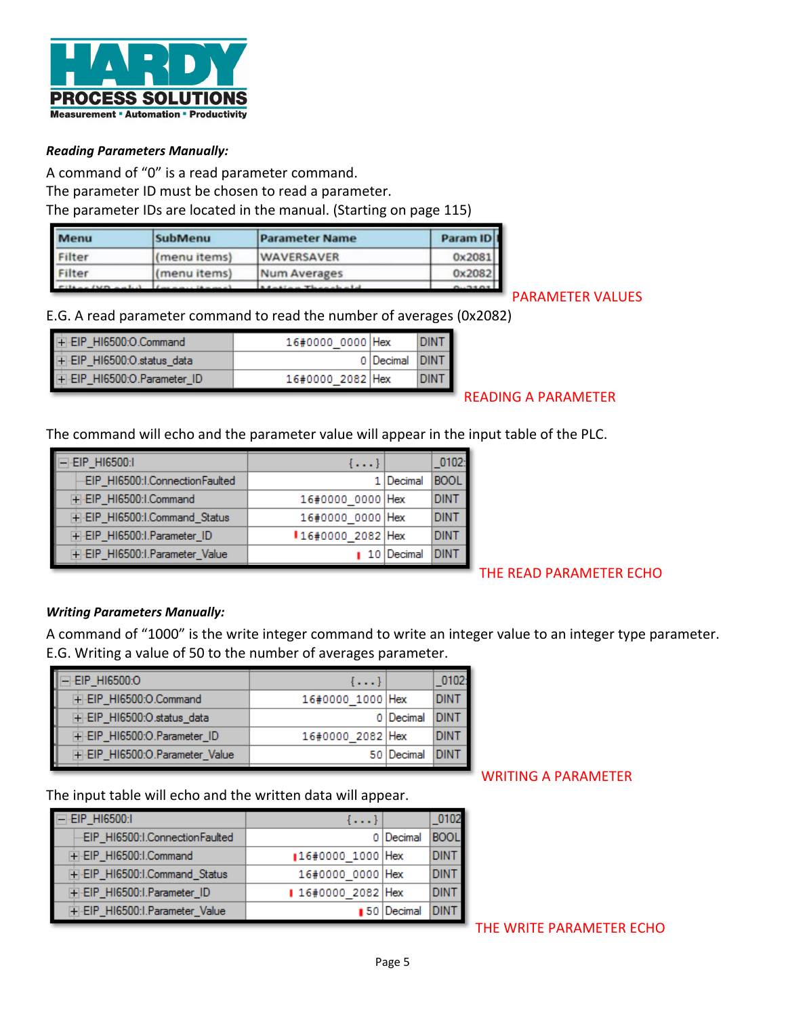

## *Reading Parameters Manually:*

A command of "0" is a read parameter command. The parameter ID must be chosen to read a parameter. The parameter IDs are located in the manual. (Starting on page 115)

| Menu             | <b>SubMenu</b><br><b>Parameter Name</b> |                   |        |  |
|------------------|-----------------------------------------|-------------------|--------|--|
| Filter           | (menu items)                            | <b>WAVERSAVER</b> | 0x2081 |  |
| Filter           | (menu items)                            | Num Averages      | 0x2082 |  |
| Filter (VD only) |                                         |                   |        |  |

### E.G. A read parameter command to read the number of averages (0x2082)

| +-EIP_HI6500:O.Command      | 16#0000 0000   Hex |                    | <b>DINT</b> |
|-----------------------------|--------------------|--------------------|-------------|
| EIP_HI6500:O.status_data    |                    | 0   Decimal   DINT |             |
| F-EIP_HI6500:O.Parameter_ID | 16#0000 2082 Hex   |                    | DINT        |

# READING A PARAMETER

The command will echo and the parameter value will appear in the input table of the PLC.

| EIP_HI6500:I                    | $\{ \}$          |                           | 0102:       |
|---------------------------------|------------------|---------------------------|-------------|
| -EIP_HI6500:I.ConnectionFaulted |                  | 1   Decimal               | <b>BOOL</b> |
| +-EIP_HI6500:I.Command          | 16#0000 0000 Hex |                           | DINT        |
| F-EIP_HI6500:I.Command_Status   | 16#0000 0000 Hex |                           | DINT        |
| F-EIP_HI6500:I.Parameter_ID     | 16#0000 2082 Hex |                           | DINT        |
| F-EIP_HI6500:I.Parameter_Value  |                  | $\blacksquare$ 10 Decimal |             |

#### THE READ PARAMETER ECHO

#### *Writing Parameters Manually:*

A command of "1000" is the write integer command to write an integer value to an integer type parameter. E.G. Writing a value of 50 to the number of averages parameter.

| $\{ \}$ | 0102                                                            |
|---------|-----------------------------------------------------------------|
|         | DINT                                                            |
|         | <b>IDINT</b>                                                    |
|         | DINT                                                            |
|         | IDINT                                                           |
|         | 16#0000 1000 Hex<br>0 Decimal<br>16#0000 2082 Hex<br>50 Decimal |

The input table will echo and the written data will appear.

| -EIP_HI6500:I                   | $\{ \}$          |                           | 0102        |
|---------------------------------|------------------|---------------------------|-------------|
| -EIP_HI6500:I.ConnectionFaulted |                  | 0 Decimal                 | <b>BOOL</b> |
| F-EIP_HI6500:I.Command          | 16#0000 1000 Hex |                           | <b>DINT</b> |
| F-EIP_HI6500:I.Command_Status   | 16#0000 0000 Hex |                           | <b>DINT</b> |
| F-EIP_HI6500:I.Parameter_ID     | 16#0000 2082 Hex |                           | <b>DINT</b> |
| F-EIP_HI6500:I.Parameter_Value  |                  | $\blacksquare$ 50 Decimal |             |

WRITING A PARAMETER

PARAMETER VALUES

THE WRITE PARAMETER ECHO